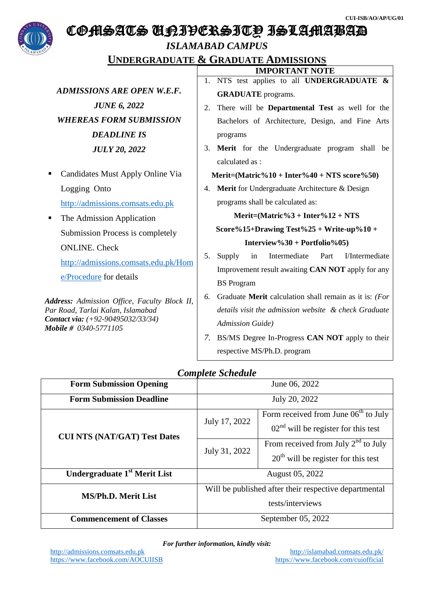

## COMSATS UNIVERSITY ISLAMABAD

## *ISLAMABAD CAMPUS*

**UNDERGRADUATE & GRADUATE ADMISSIONS**

|                                                                                                                                                 | <b>IMPORTANT NOTE</b>                                                                     |  |  |  |  |  |
|-------------------------------------------------------------------------------------------------------------------------------------------------|-------------------------------------------------------------------------------------------|--|--|--|--|--|
|                                                                                                                                                 | NTS test applies to all UNDERGRADUATE &<br>1.                                             |  |  |  |  |  |
| <b>ADMISSIONS ARE OPEN W.E.F.</b>                                                                                                               | <b>GRADUATE</b> programs.<br>There will be <b>Departmental Test</b> as well for the<br>2. |  |  |  |  |  |
| <b>JUNE 6, 2022</b>                                                                                                                             |                                                                                           |  |  |  |  |  |
| <b>WHEREAS FORM SUBMISSION</b>                                                                                                                  | Bachelors of Architecture, Design, and Fine Arts                                          |  |  |  |  |  |
| <b>DEADLINE IS</b>                                                                                                                              | programs                                                                                  |  |  |  |  |  |
| <b>JULY 20, 2022</b>                                                                                                                            | Merit for the Undergraduate program shall be<br>3.                                        |  |  |  |  |  |
|                                                                                                                                                 | calculated as:                                                                            |  |  |  |  |  |
| Candidates Must Apply Online Via<br>ш                                                                                                           | Merit= $Matric\%10 + Inter\%40 + NTS score\%50$                                           |  |  |  |  |  |
| Logging Onto                                                                                                                                    | Merit for Undergraduate Architecture & Design<br>4.                                       |  |  |  |  |  |
| http://admissions.comsats.edu.pk                                                                                                                | programs shall be calculated as:                                                          |  |  |  |  |  |
| The Admission Application<br>٠                                                                                                                  | Merit= $Matric\%3 + Inter\%12 + NTS$                                                      |  |  |  |  |  |
| Submission Process is completely                                                                                                                | Score%15+Drawing Test%25 + Write-up%10 +<br>Interview%30 + Portfolio%05)                  |  |  |  |  |  |
| <b>ONLINE.</b> Check                                                                                                                            |                                                                                           |  |  |  |  |  |
| http://admissions.comsats.edu.pk/Hom                                                                                                            | Intermediate<br>Part<br>I/Intermediate<br>5.<br>Supply<br>in                              |  |  |  |  |  |
| e/Procedure for details                                                                                                                         | Improvement result awaiting CAN NOT apply for any                                         |  |  |  |  |  |
|                                                                                                                                                 | <b>BS</b> Program                                                                         |  |  |  |  |  |
| Address: Admission Office, Faculty Block II,<br>Par Road, Tarlai Kalan, Islamabad<br>Contact via: (+92-90495032/33/34)<br>Mobile # 0340-5771105 | Graduate Merit calculation shall remain as it is: (For<br>6.                              |  |  |  |  |  |
|                                                                                                                                                 | details visit the admission website & check Graduate                                      |  |  |  |  |  |
|                                                                                                                                                 | <b>Admission Guide</b> )                                                                  |  |  |  |  |  |
|                                                                                                                                                 | BS/MS Degree In-Progress CAN NOT apply to their<br>7.                                     |  |  |  |  |  |
|                                                                                                                                                 | respective MS/Ph.D. program                                                               |  |  |  |  |  |
|                                                                                                                                                 |                                                                                           |  |  |  |  |  |

## *Complete Schedule*

| Complete Beneaute                        |                                                       |                                        |  |  |  |  |  |
|------------------------------------------|-------------------------------------------------------|----------------------------------------|--|--|--|--|--|
| <b>Form Submission Opening</b>           | June 06, 2022                                         |                                        |  |  |  |  |  |
| <b>Form Submission Deadline</b>          | July 20, 2022                                         |                                        |  |  |  |  |  |
| <b>CUI NTS (NAT/GAT) Test Dates</b>      | July 17, 2022                                         | Form received from June $06th$ to July |  |  |  |  |  |
|                                          |                                                       | $02nd$ will be register for this test  |  |  |  |  |  |
|                                          | July 31, 2022                                         | From received from July $2nd$ to July  |  |  |  |  |  |
|                                          |                                                       | $20th$ will be register for this test  |  |  |  |  |  |
| Undergraduate 1 <sup>st</sup> Merit List | August 05, 2022                                       |                                        |  |  |  |  |  |
| <b>MS/Ph.D. Merit List</b>               | Will be published after their respective departmental |                                        |  |  |  |  |  |
|                                          | tests/interviews                                      |                                        |  |  |  |  |  |
| <b>Commencement of Classes</b>           | September 05, 2022                                    |                                        |  |  |  |  |  |

*For further information, kindly visit:*

http://admissions.comsats.edu.pk<br>
https://www.facebook.com/AOCUIISB<br>
https://www.facebook.com/cuiofficial